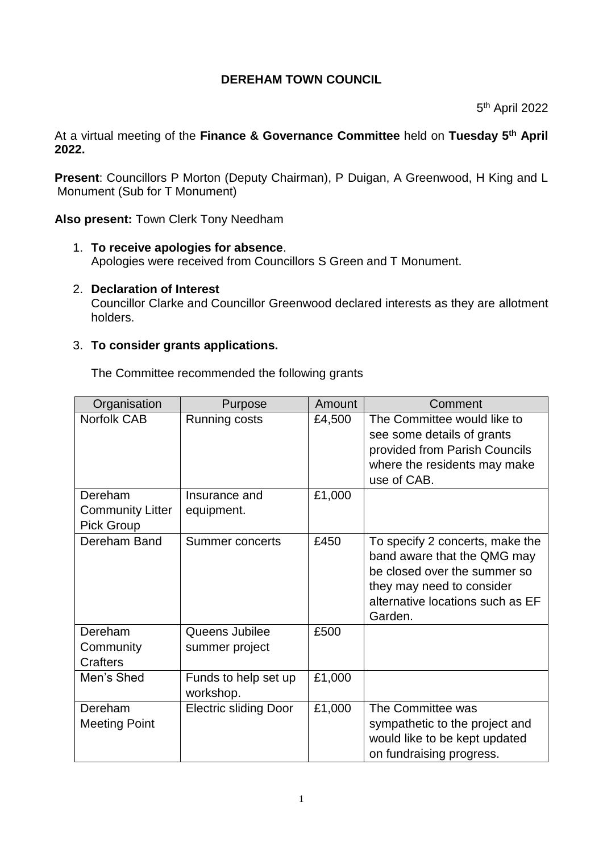# **DEREHAM TOWN COUNCIL**

5 th April 2022

At a virtual meeting of the **Finance & Governance Committee** held on **Tuesday 5 th April 2022.**

**Present**: Councillors P Morton (Deputy Chairman), P Duigan, A Greenwood, H King and L Monument (Sub for T Monument)

**Also present:** Town Clerk Tony Needham

- 1. **To receive apologies for absence**. Apologies were received from Councillors S Green and T Monument.
- 2. **Declaration of Interest**

Councillor Clarke and Councillor Greenwood declared interests as they are allotment holders.

### 3. **To consider grants applications.**

The Committee recommended the following grants

| Organisation                                            | Purpose                           | Amount | Comment                                                                                                                                                                    |
|---------------------------------------------------------|-----------------------------------|--------|----------------------------------------------------------------------------------------------------------------------------------------------------------------------------|
| <b>Norfolk CAB</b>                                      | Running costs                     | £4,500 | The Committee would like to<br>see some details of grants<br>provided from Parish Councils<br>where the residents may make<br>use of CAB.                                  |
| Dereham<br><b>Community Litter</b><br><b>Pick Group</b> | Insurance and<br>equipment.       | £1,000 |                                                                                                                                                                            |
| Dereham Band                                            | Summer concerts                   | £450   | To specify 2 concerts, make the<br>band aware that the QMG may<br>be closed over the summer so<br>they may need to consider<br>alternative locations such as EF<br>Garden. |
| Dereham<br>Community<br>Crafters                        | Queens Jubilee<br>summer project  | £500   |                                                                                                                                                                            |
| Men's Shed                                              | Funds to help set up<br>workshop. | £1,000 |                                                                                                                                                                            |
| Dereham<br><b>Meeting Point</b>                         | <b>Electric sliding Door</b>      | £1,000 | The Committee was<br>sympathetic to the project and<br>would like to be kept updated<br>on fundraising progress.                                                           |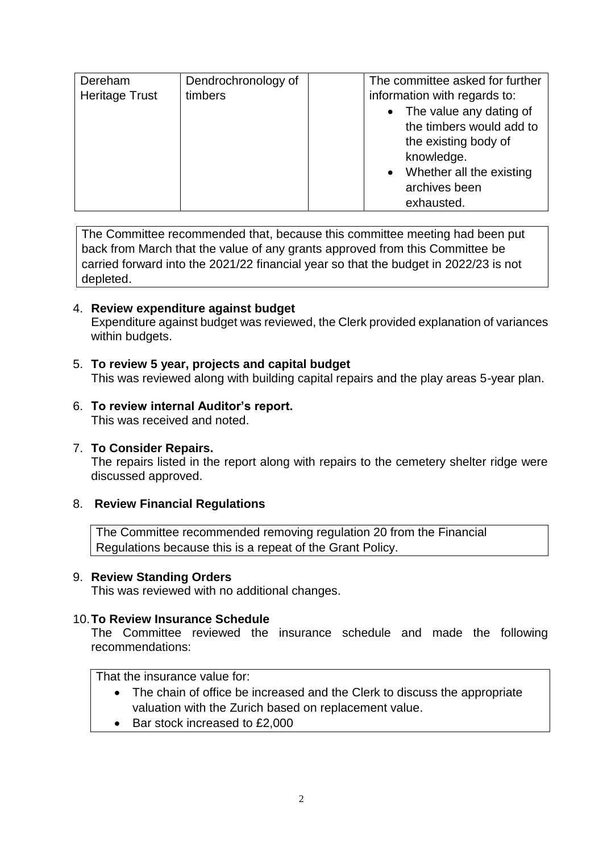| Dereham<br><b>Heritage Trust</b> | Dendrochronology of<br>timbers | The committee asked for further<br>information with regards to:<br>• The value any dating of<br>the timbers would add to<br>the existing body of |
|----------------------------------|--------------------------------|--------------------------------------------------------------------------------------------------------------------------------------------------|
|                                  |                                | knowledge.<br>Whether all the existing<br>$\bullet$<br>archives been<br>exhausted.                                                               |

The Committee recommended that, because this committee meeting had been put back from March that the value of any grants approved from this Committee be carried forward into the 2021/22 financial year so that the budget in 2022/23 is not depleted.

# 4. **Review expenditure against budget**

Expenditure against budget was reviewed, the Clerk provided explanation of variances within budgets.

## 5. **To review 5 year, projects and capital budget**

This was reviewed along with building capital repairs and the play areas 5-year plan.

#### 6. **To review internal Auditor's report.** This was received and noted.

#### 7. **To Consider Repairs.**

The repairs listed in the report along with repairs to the cemetery shelter ridge were discussed approved.

## 8. **Review Financial Regulations**

The Committee recommended removing regulation 20 from the Financial Regulations because this is a repeat of the Grant Policy.

#### 9. **Review Standing Orders**

This was reviewed with no additional changes.

#### 10.**To Review Insurance Schedule**

The Committee reviewed the insurance schedule and made the following recommendations:

That the insurance value for:

- The chain of office be increased and the Clerk to discuss the appropriate valuation with the Zurich based on replacement value.
- Bar stock increased to £2,000